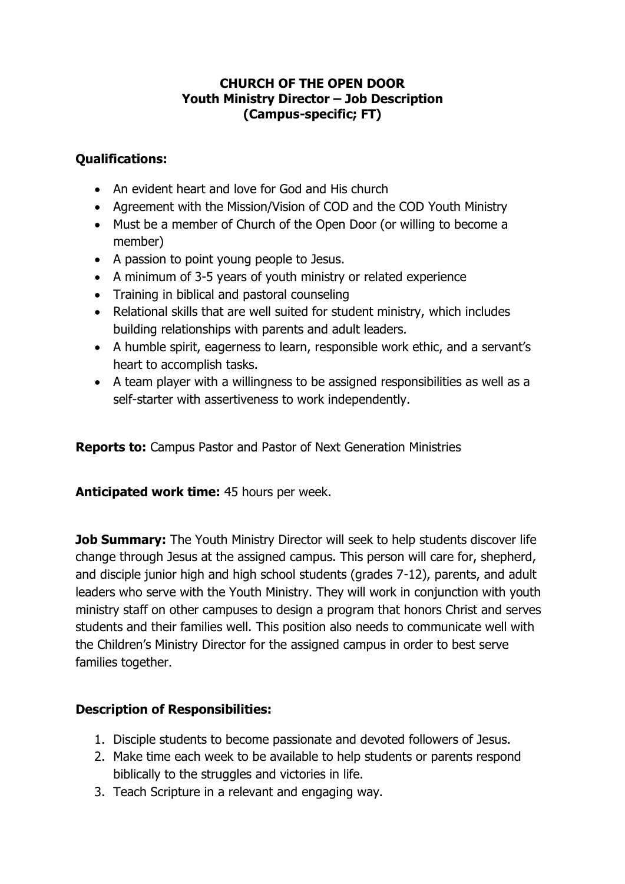## **CHURCH OF THE OPEN DOOR Youth Ministry Director – Job Description (Campus-specific; FT)**

## **Qualifications:**

- An evident heart and love for God and His church
- Agreement with the Mission/Vision of COD and the COD Youth Ministry
- Must be a member of Church of the Open Door (or willing to become a member)
- A passion to point young people to Jesus.
- A minimum of 3-5 years of youth ministry or related experience
- Training in biblical and pastoral counseling
- Relational skills that are well suited for student ministry, which includes building relationships with parents and adult leaders.
- A humble spirit, eagerness to learn, responsible work ethic, and a servant's heart to accomplish tasks.
- A team player with a willingness to be assigned responsibilities as well as a self-starter with assertiveness to work independently.

**Reports to:** Campus Pastor and Pastor of Next Generation Ministries

**Anticipated work time:** 45 hours per week.

**Job Summary:** The Youth Ministry Director will seek to help students discover life change through Jesus at the assigned campus. This person will care for, shepherd, and disciple junior high and high school students (grades 7-12), parents, and adult leaders who serve with the Youth Ministry. They will work in conjunction with youth ministry staff on other campuses to design a program that honors Christ and serves students and their families well. This position also needs to communicate well with the Children's Ministry Director for the assigned campus in order to best serve families together.

## **Description of Responsibilities:**

- 1. Disciple students to become passionate and devoted followers of Jesus.
- 2. Make time each week to be available to help students or parents respond biblically to the struggles and victories in life.
- 3. Teach Scripture in a relevant and engaging way.